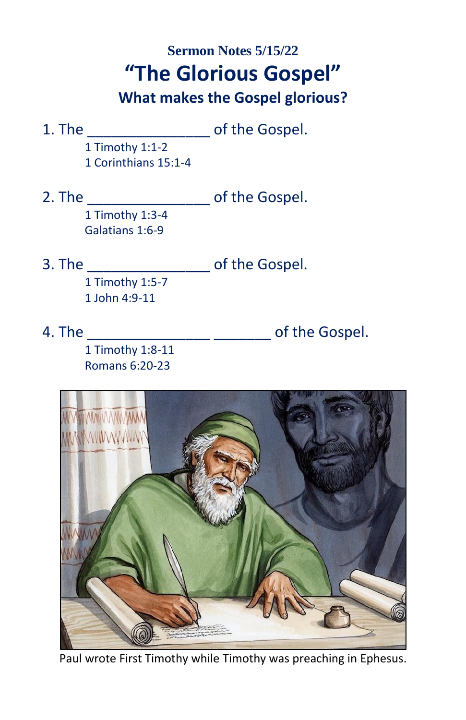# **Sermon Notes 5/15/22 "The Glorious Gospel"**

### **What makes the Gospel glorious?**

1. The \_\_\_\_\_\_\_\_\_\_\_\_\_\_\_ of the Gospel. 1 Timothy 1:1-2

1 Corinthians 15:1-4

- 2. The \_\_\_\_\_\_\_\_\_\_\_\_\_\_\_\_\_\_\_\_\_\_\_ of the Gospel. 1 Timothy 1:3-4 Galatians 1:6-9
- 3. The \_\_\_\_\_\_\_\_\_\_\_\_\_\_\_ of the Gospel. 1 Timothy 1:5-7
	- 1 John 4:9-11
- 

4. The \_\_\_\_\_\_\_\_\_\_\_\_\_\_\_ \_\_\_\_\_\_\_ of the Gospel.

1 Timothy 1:8-11 Romans 6:20-23



Paul wrote First Timothy while Timothy was preaching in Ephesus.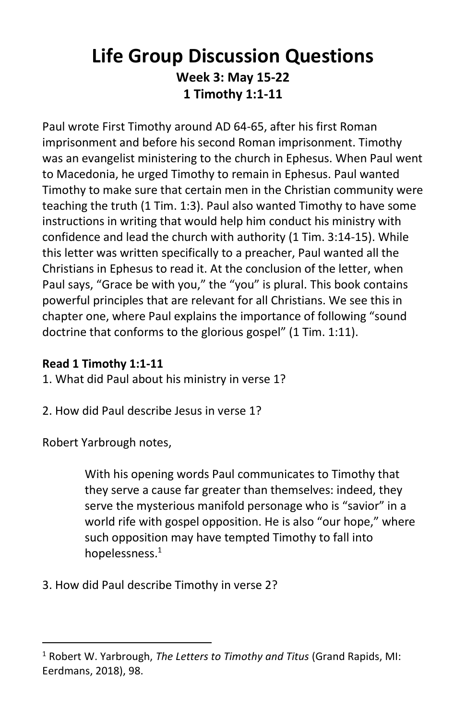## **Life Group Discussion Questions Week 3: May 15-22 1 Timothy 1:1-11**

Paul wrote First Timothy around AD 64-65, after his first Roman imprisonment and before his second Roman imprisonment. Timothy was an evangelist ministering to the church in Ephesus. When Paul went to Macedonia, he urged Timothy to remain in Ephesus. Paul wanted Timothy to make sure that certain men in the Christian community were teaching the truth (1 Tim. 1:3). Paul also wanted Timothy to have some instructions in writing that would help him conduct his ministry with confidence and lead the church with authority (1 Tim. 3:14-15). While this letter was written specifically to a preacher, Paul wanted all the Christians in Ephesus to read it. At the conclusion of the letter, when Paul says, "Grace be with you," the "you" is plural. This book contains powerful principles that are relevant for all Christians. We see this in chapter one, where Paul explains the importance of following "sound doctrine that conforms to the glorious gospel" (1 Tim. 1:11).

### **Read 1 Timothy 1:1-11**

1. What did Paul about his ministry in verse 1?

2. How did Paul describe Jesus in verse 1?

Robert Yarbrough notes,

With his opening words Paul communicates to Timothy that they serve a cause far greater than themselves: indeed, they serve the mysterious manifold personage who is "savior" in a world rife with gospel opposition. He is also "our hope," where such opposition may have tempted Timothy to fall into hopelessness.<sup>1</sup>

#### 3. How did Paul describe Timothy in verse 2?

<sup>1</sup> Robert W. Yarbrough, *The Letters to Timothy and Titus* (Grand Rapids, MI: Eerdmans, 2018), 98.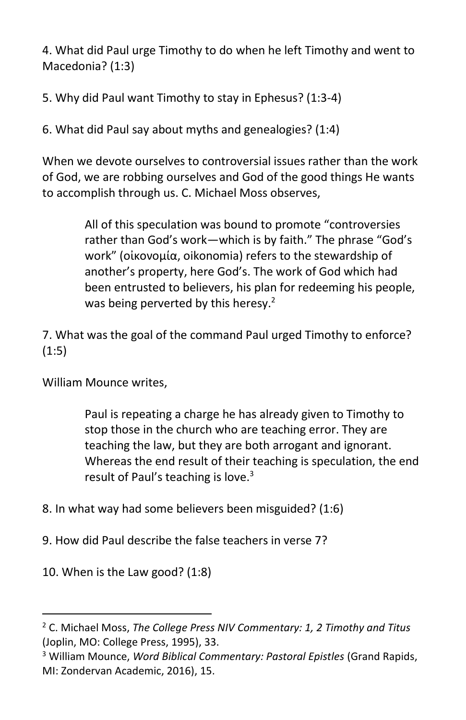4. What did Paul urge Timothy to do when he left Timothy and went to Macedonia? (1:3)

5. Why did Paul want Timothy to stay in Ephesus? (1:3-4)

6. What did Paul say about myths and genealogies? (1:4)

When we devote ourselves to controversial issues rather than the work of God, we are robbing ourselves and God of the good things He wants to accomplish through us. C. Michael Moss observes,

> All of this speculation was bound to promote "controversies rather than God's work—which is by faith." The phrase "God's work" (οἰκονομία, oikonomia) refers to the stewardship of another's property, here God's. The work of God which had been entrusted to believers, his plan for redeeming his people, was being perverted by this heresy. $2$

7. What was the goal of the command Paul urged Timothy to enforce? (1:5)

William Mounce writes,

Paul is repeating a charge he has already given to Timothy to stop those in the church who are teaching error. They are teaching the law, but they are both arrogant and ignorant. Whereas the end result of their teaching is speculation, the end result of Paul's teaching is love.<sup>3</sup>

8. In what way had some believers been misguided? (1:6)

9. How did Paul describe the false teachers in verse 7?

10. When is the Law good? (1:8)

<sup>2</sup> C. Michael Moss, *The College Press NIV Commentary: 1, 2 Timothy and Titus* (Joplin, MO: College Press, 1995), 33.

<sup>3</sup> William Mounce, *Word Biblical Commentary: Pastoral Epistles* (Grand Rapids, MI: Zondervan Academic, 2016), 15.